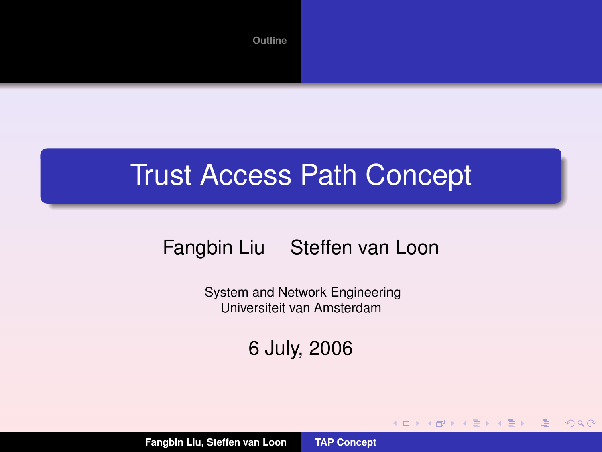

#### Trust Access Path Concept

#### Fangbin Liu Steffen van Loon

System and Network Engineering Universiteit van Amsterdam

6 July, 2006

(ロ) (個) (重) (重)

<span id="page-0-0"></span> $2QQ$ 

唾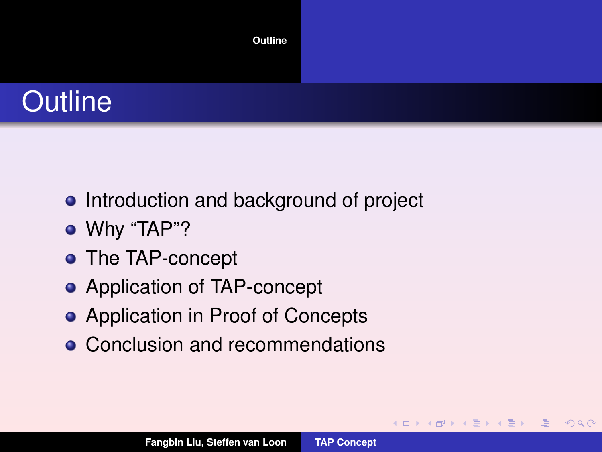

- Introduction and background of project
- Why "TAP"?
- The TAP-concept
- Application of TAP-concept
- Application in Proof of Concepts
- Conclusion and recommendations

▶ (伊) (唐)

<span id="page-1-0"></span>哇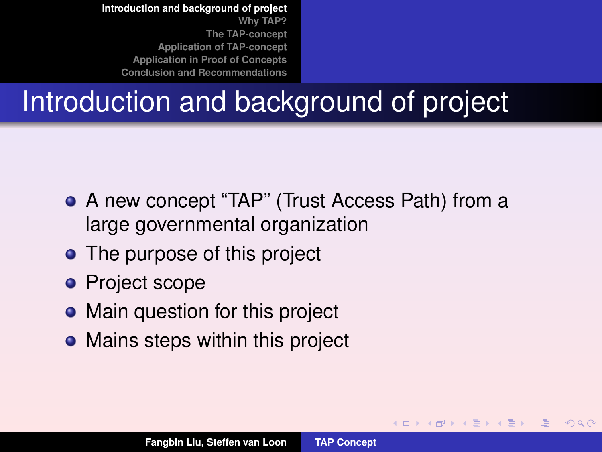### Introduction and background of project

- A new concept "TAP" (Trust Access Path) from a large governmental organization
- The purpose of this project
- **Project scope**
- Main question for this project
- Mains steps within this project

<span id="page-2-0"></span>≮ロト ⊀ 御 ▶ ⊀ 唐 ▶ ⊀ 唐 ▶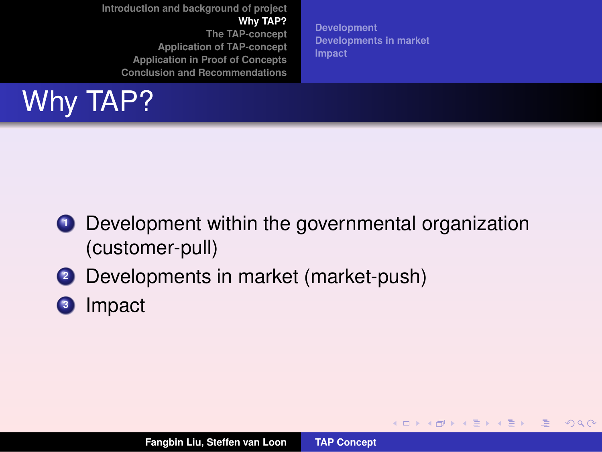**[Development](#page-4-0) [Developments in market](#page-7-0) [Impact](#page-8-0)**

**K ロ ⊁ K 倒 ≯ K ミ ⊁ K ミ ⊁** 

<span id="page-3-0"></span> $2QQ$ 

唾

# Why TAP?

- **1** Development within the governmental organization (customer-pull)
- **<sup>2</sup>** Developments in market (market-push)
- **<sup>3</sup>** Impact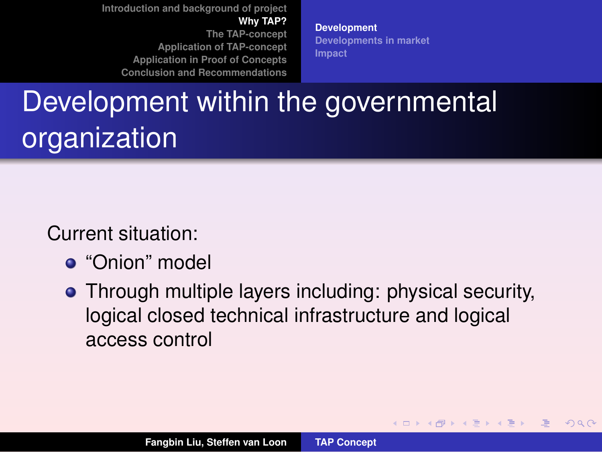**[Development](#page-4-0) [Developments in market](#page-7-0) [Impact](#page-8-0)**

**K ロ ⊁ K 倒 ≯ K ミ ⊁ K ミ ⊁** 

<span id="page-4-0"></span> $QQQ$ 

# Development within the governmental organization

Current situation:

- "Onion" model
- Through multiple layers including: physical security, logical closed technical infrastructure and logical access control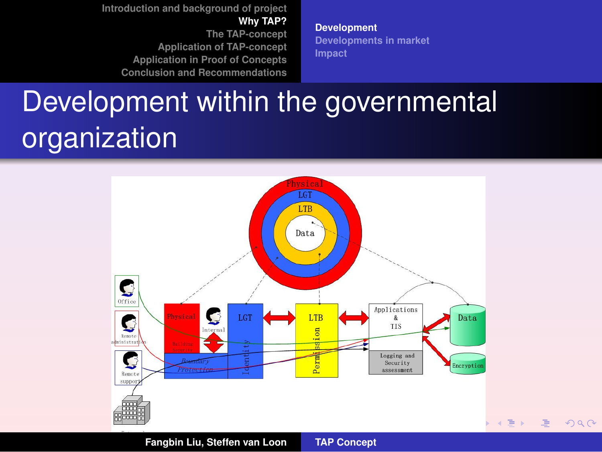**[Development](#page-4-0) [Developments in market](#page-7-0) [Impact](#page-8-0)**

# Development within the governmental organization



 $2990$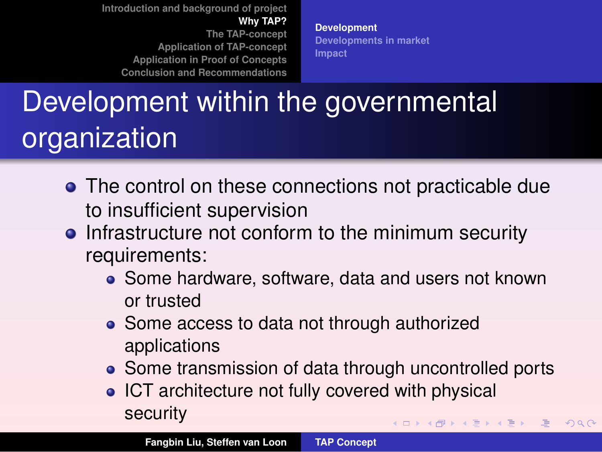**[Development](#page-4-0) [Developments in market](#page-7-0) [Impact](#page-8-0)**

# Development within the governmental organization

- The control on these connections not practicable due to insufficient supervision
- Infrastructure not conform to the minimum security requirements:
	- Some hardware, software, data and users not known or trusted
	- Some access to data not through authorized applications
	- Some transmission of data through uncontrolled ports

重

 $2QQ$ 

• ICT architecture not fully covered with physical security (ロ) (個) (目) (重)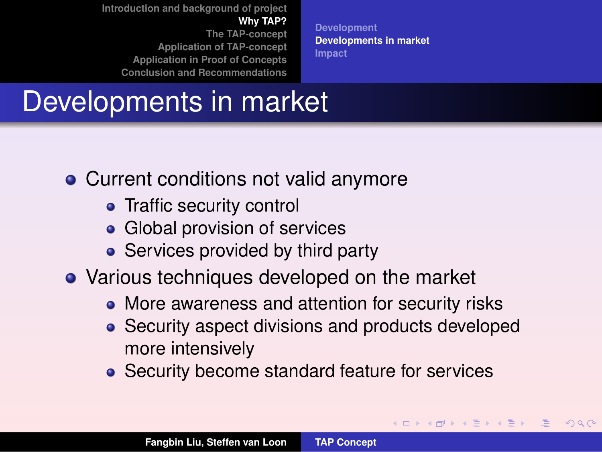**[Development](#page-4-0) [Developments in market](#page-7-0) [Impact](#page-8-0)**

### Developments in market

- Current conditions not valid anymore
	- Traffic security control
	- Global provision of services
	- Services provided by third party
- Various techniques developed on the market
	- More awareness and attention for security risks
	- Security aspect divisions and products developed more intensively

**K ロ ⊁ K 倒 ≯ K ミ ⊁ K ミ ⊁** 

<span id="page-7-0"></span> $2QQ$ 

• Security become standard feature for services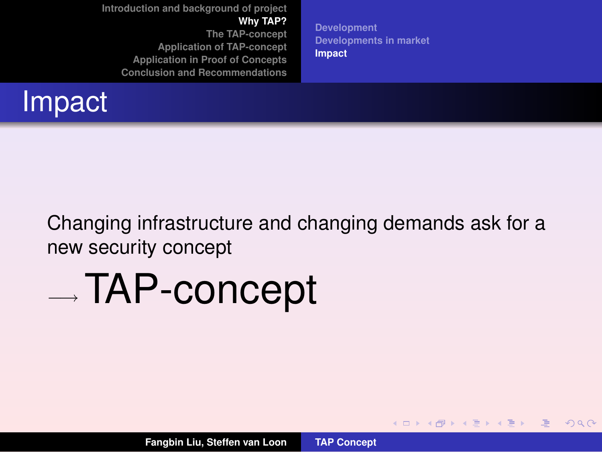

**[Development](#page-4-0) [Developments in market](#page-7-0) [Impact](#page-8-0)**

**K ロ ⊁ K 倒 ≯ K ミ ⊁ K ミ ⊁** 

<span id="page-8-0"></span> $2QQ$ 

哇

Changing infrastructure and changing demands ask for a new security concept

# −→ TAP-concept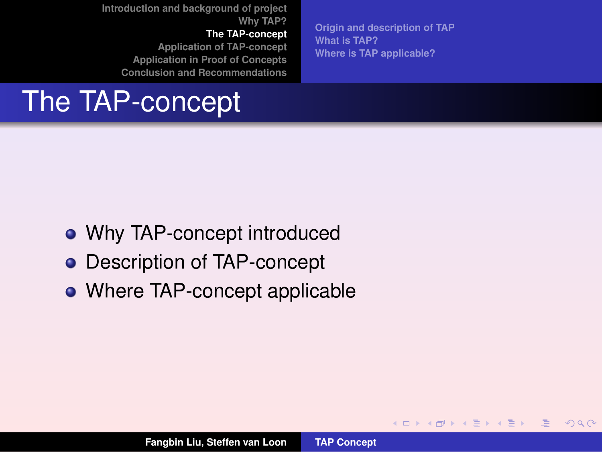**[The TAP-concept](#page-9-0)**

**[Application of TAP-concept](#page-16-0) [Application in Proof of Concepts](#page-22-0) [Conclusion and Recommendations](#page-29-0)**

The TAP-concept

**[Origin and description of TAP](#page-10-0) [What is TAP?](#page-13-0) [Where is TAP applicable?](#page-15-0)**

**K ロ ⊁ K 倒 ≯ K ミ ⊁ K ミ ⊁** 

<span id="page-9-0"></span> $2QQ$ 

唾

- Why TAP-concept introduced
- **•** Description of TAP-concept
- Where TAP-concept applicable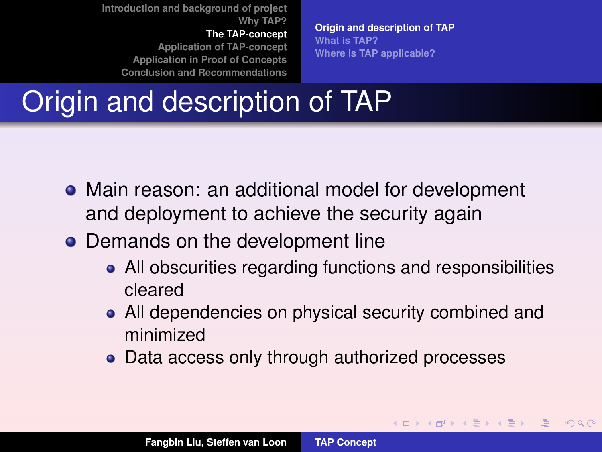**[The TAP-concept](#page-9-0)**

**[Application of TAP-concept](#page-16-0) [Application in Proof of Concepts](#page-22-0) [Conclusion and Recommendations](#page-29-0)** **[Origin and description of TAP](#page-10-0) [What is TAP?](#page-13-0) [Where is TAP applicable?](#page-15-0)**

**K ロ ⊁ K 倒 ≯ K ミ ⊁ K ミ ⊁** 

<span id="page-10-0"></span> $2QQ$ 

### Origin and description of TAP

- Main reason: an additional model for development and deployment to achieve the security again
- Demands on the development line
	- All obscurities regarding functions and responsibilities cleared
	- All dependencies on physical security combined and minimized
	- Data access only through authorized processes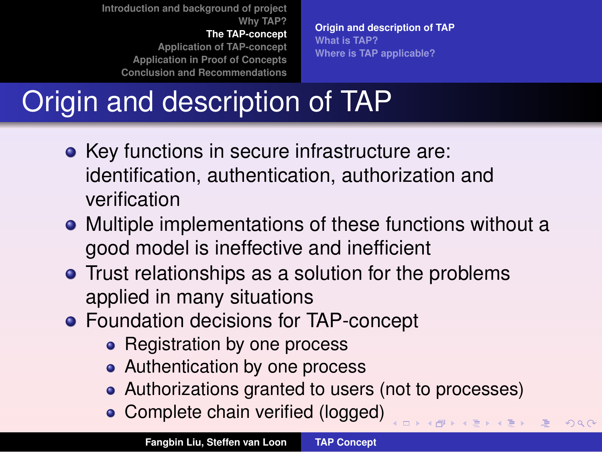**[The TAP-concept](#page-9-0)**

**[Application of TAP-concept](#page-16-0) [Application in Proof of Concepts](#page-22-0) [Conclusion and Recommendations](#page-29-0)**

**[Origin and description of TAP](#page-10-0) [What is TAP?](#page-13-0) [Where is TAP applicable?](#page-15-0)**

# Origin and description of TAP

- Key functions in secure infrastructure are: identification, authentication, authorization and verification
- Multiple implementations of these functions without a good model is ineffective and inefficient
- **•** Trust relationships as a solution for the problems applied in many situations
- **Foundation decisions for TAP-concept** 
	- Registration by one process
	- Authentication by one process
	- Authorizations granted to users (not to processes)

(ロ) ( d ) ( d )

 $QQQ$ 

• Complete chain verified (logged)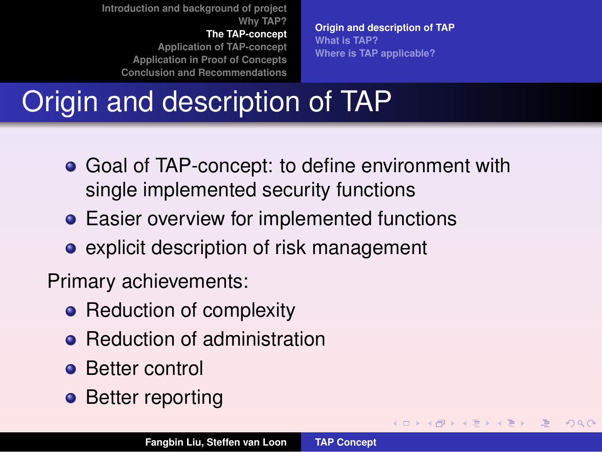**[The TAP-concept](#page-9-0)**

**[Application of TAP-concept](#page-16-0) [Application in Proof of Concepts](#page-22-0) [Conclusion and Recommendations](#page-29-0)** **[Origin and description of TAP](#page-10-0) [What is TAP?](#page-13-0) [Where is TAP applicable?](#page-15-0)**

**K ロ ⊁ K 倒 ≯ K ミ ⊁ K ミ ⊁** 

<span id="page-12-0"></span> $2QQ$ 

## Origin and description of TAP

- Goal of TAP-concept: to define environment with single implemented security functions
- **Easier overview for implemented functions**
- **•** explicit description of risk management

Primary achievements:

- Reduction of complexity
- Reduction of administration
- **•** Better control
- Better reporting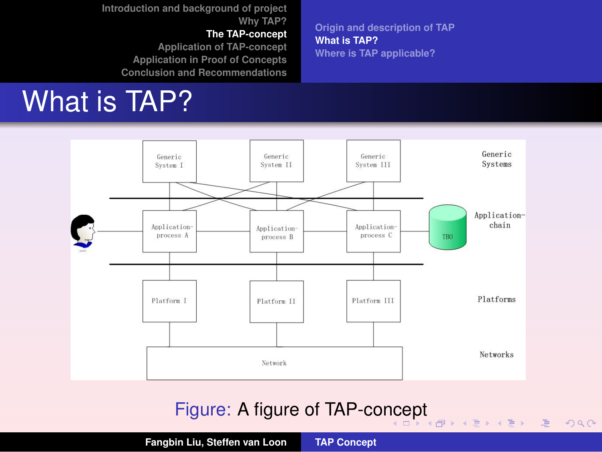#### **[The TAP-concept](#page-9-0)**

**[Application of TAP-concept](#page-16-0) [Application in Proof of Concepts](#page-22-0) [Conclusion and Recommendations](#page-29-0)**

## What is TAP?

**[Origin and description of TAP](#page-10-0) [What is TAP?](#page-13-0) [Where is TAP applicable?](#page-15-0)**

ミメス ミメー

 $\mathbf{p}$ 

重

<span id="page-13-0"></span> $2QQ$ 



#### Figure: A figure of TAP-co[nc](#page-12-0)[ep](#page-14-0)[t](#page-12-0)

**Fangbin Liu, Steffen van Loon [TAP Concept](#page-0-0)**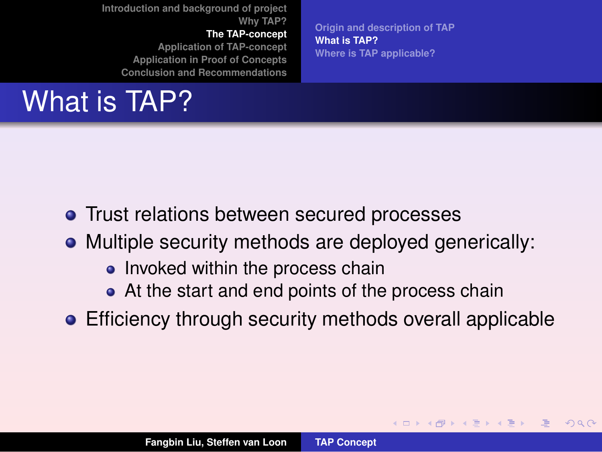**[The TAP-concept](#page-9-0)**

**[Application of TAP-concept](#page-16-0) [Application in Proof of Concepts](#page-22-0) [Conclusion and Recommendations](#page-29-0)**

# What is TAP?

**[Origin and description of TAP](#page-10-0) [What is TAP?](#page-13-0) [Where is TAP applicable?](#page-15-0)**

**◆ロ ▶ → 伊 ▶ → 王 ▶ →** 

<span id="page-14-0"></span> $2990$ 

- **•** Trust relations between secured processes
- Multiple security methods are deployed generically:
	- Invoked within the process chain
	- At the start and end points of the process chain
- **Efficiency through security methods overall applicable**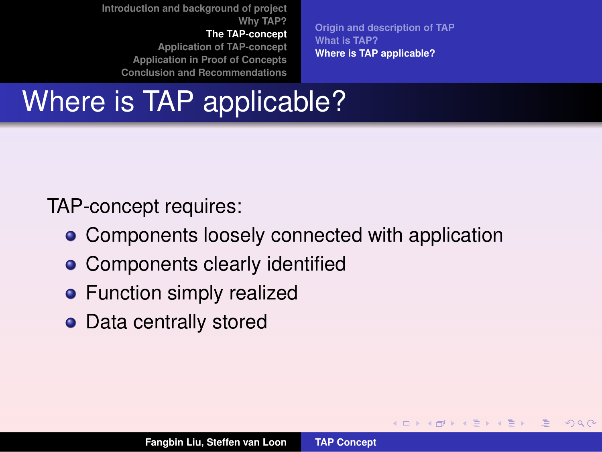**[The TAP-concept](#page-9-0)**

**[Application of TAP-concept](#page-16-0) [Application in Proof of Concepts](#page-22-0) [Conclusion and Recommendations](#page-29-0)**

**[Origin and description of TAP](#page-10-0) [What is TAP?](#page-13-0) [Where is TAP applicable?](#page-15-0)**

**K ロ ⊁ K 倒 ≯ K ミ ⊁ K ミ ⊁** 

<span id="page-15-0"></span> $2QQ$ 

## Where is TAP applicable?

TAP-concept requires:

- Components loosely connected with application
- Components clearly identified
- **•** Function simply realized
- Data centrally stored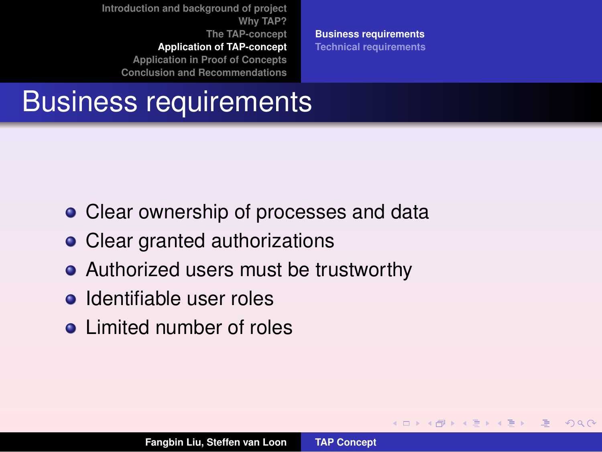**[Introduction and background of project](#page-2-0) [Why TAP?](#page-3-0) [The TAP-concept](#page-9-0) [Application of TAP-concept](#page-16-0) [Application in Proof of Concepts](#page-22-0)**

**[Conclusion and Recommendations](#page-29-0)**

**[Business requirements](#page-16-0) [Technical requirements](#page-17-0)**

∢ロト ∢母 ▶ ∢ 重 ▶ ∢ 重 ▶

<span id="page-16-0"></span> $2QQ$ 

#### Business requirements

- Clear ownership of processes and data
- Clear granted authorizations
- Authorized users must be trustworthy
- **o** Identifiable user roles
- **•** Limited number of roles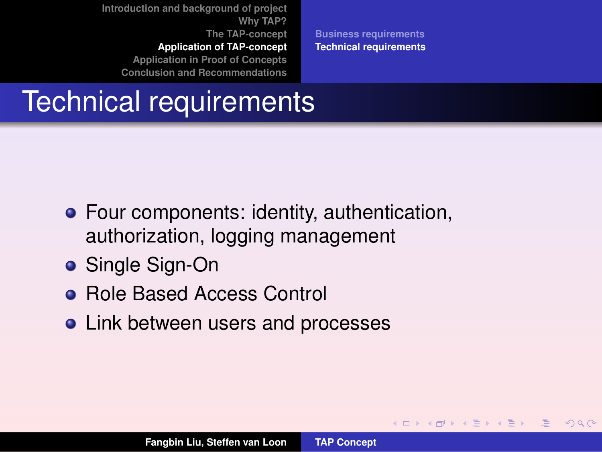**[Introduction and background of project](#page-2-0) [Why TAP?](#page-3-0) [The TAP-concept](#page-9-0) [Application of TAP-concept](#page-16-0)**

**[Application in Proof of Concepts](#page-22-0) [Conclusion and Recommendations](#page-29-0)** **[Business requirements](#page-16-0) [Technical requirements](#page-17-0)**

**≮ロ ▶ ⊀ 御 ▶ ⊀ 唐 ▶ ⊀ 唐 ▶** 

<span id="page-17-0"></span> $2QQ$ 

### Technical requirements

- Four components: identity, authentication, authorization, logging management
- Single Sign-On
- **Role Based Access Control**
- Link between users and processes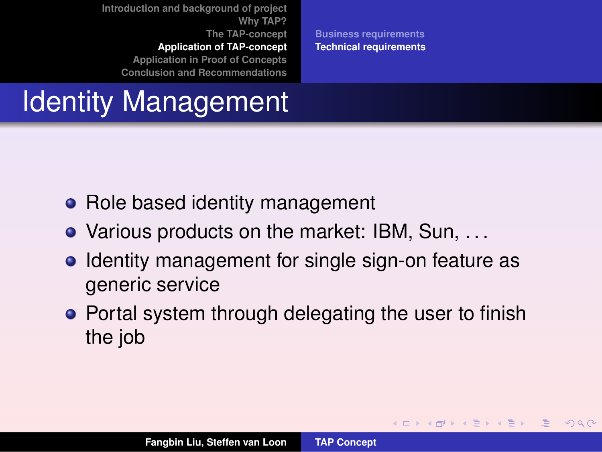**[Introduction and background of project](#page-2-0) [Why TAP?](#page-3-0) [The TAP-concept](#page-9-0) [Application of TAP-concept](#page-16-0) [Application in Proof of Concepts](#page-22-0)**

**[Conclusion and Recommendations](#page-29-0)**

**[Business requirements](#page-16-0) [Technical requirements](#page-17-0)**

**K ロ ⊁ K 倒 ≯ K ミ ⊁ K ミ ⊁** 

 $2QQ$ 

### Identity Management

- Role based identity management
- Various products on the market: IBM, Sun, . . .
- Identity management for single sign-on feature as generic service
- Portal system through delegating the user to finish the job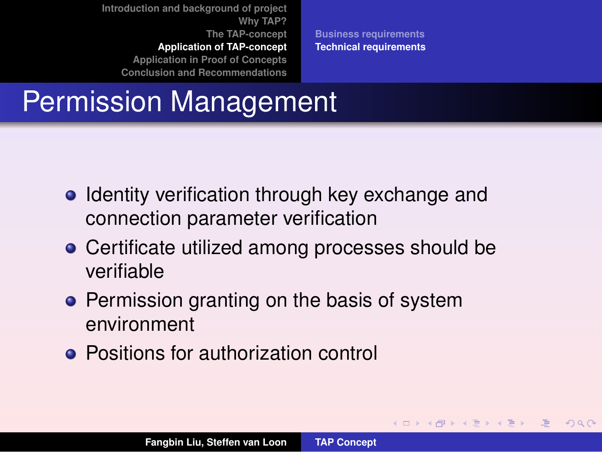**[Introduction and background of project](#page-2-0) [Why TAP?](#page-3-0) [The TAP-concept](#page-9-0) [Application of TAP-concept](#page-16-0) [Application in Proof of Concepts](#page-22-0)**

**[Conclusion and Recommendations](#page-29-0)**

**[Business requirements](#page-16-0) [Technical requirements](#page-17-0)**

**K ロ ⊁ K 倒 ≯ K ミ ⊁ K ミ ⊁** 

 $2QQ$ 

### Permission Management

- Identity verification through key exchange and connection parameter verification
- Certificate utilized among processes should be verifiable
- **•** Permission granting on the basis of system environment
- **Positions for authorization control**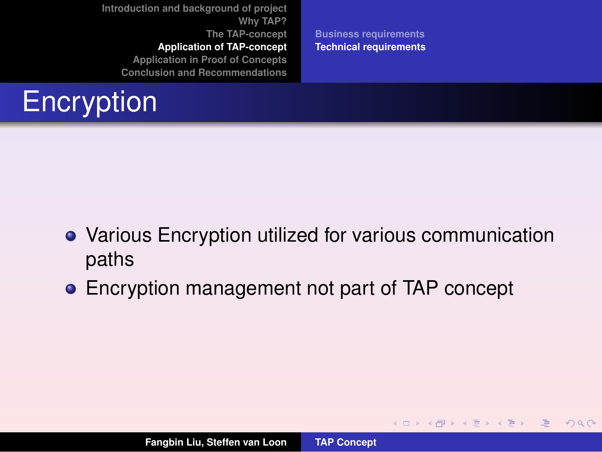**[Introduction and background of project](#page-2-0) [Why TAP?](#page-3-0) [The TAP-concept](#page-9-0) [Application of TAP-concept](#page-16-0)**

**[Application in Proof of Concepts](#page-22-0)**

**[Conclusion and Recommendations](#page-29-0)**



**[Business requirements](#page-16-0) [Technical requirements](#page-17-0)**

**K ロ ⊁ K 倒 ≯ K ミ ⊁ K ミ ⊁** 

 $2QQ$ 

唾

- Various Encryption utilized for various communication paths
- Encryption management not part of TAP concept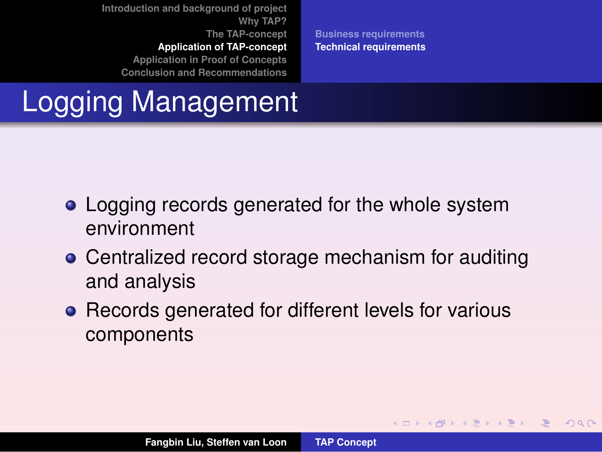**[Introduction and background of project](#page-2-0) [Why TAP?](#page-3-0) [The TAP-concept](#page-9-0) [Application of TAP-concept](#page-16-0) [Application in Proof of Concepts](#page-22-0)**

**[Conclusion and Recommendations](#page-29-0)**

**[Business requirements](#page-16-0) [Technical requirements](#page-17-0)**

**K ロ ⊁ K 倒 ≯ K ミ ⊁ K ミ ⊁** 

<span id="page-21-0"></span> $2QQ$ 

### Logging Management

- Logging records generated for the whole system environment
- **Centralized record storage mechanism for auditing** and analysis
- Records generated for different levels for various components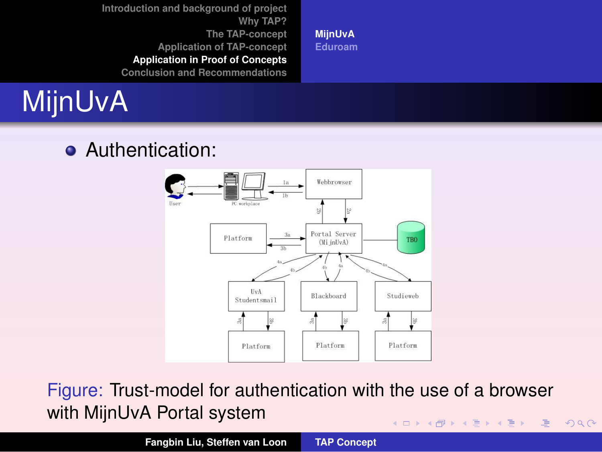**[MijnUvA](#page-22-0) [Eduroam](#page-25-0)**

# MijnUvA

#### Authentication:

<span id="page-22-0"></span>

Figure: Trust-model for authentication with the use of a browser with MijnUvA Portal system イロト イ部 トイ磨 トイ磨 トー 重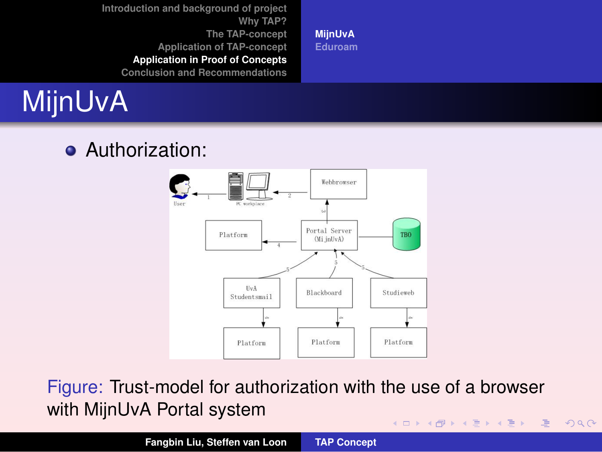**[MijnUvA](#page-22-0) [Eduroam](#page-25-0)**

# MijnUvA

#### **•** Authorization:



Figure: Trust-model for authorization with the use of a browser with MijnUvA Portal system (ロ) (個) (重) (重) 重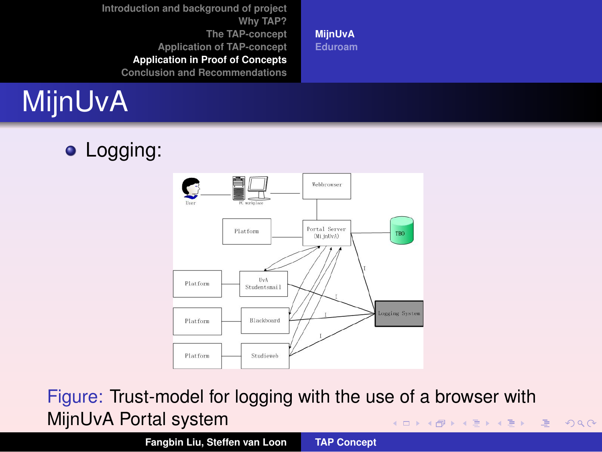**[MijnUvA](#page-22-0) [Eduroam](#page-25-0)**

# MijnUvA

• Logging:



Figure: Trust-model for logging with the use of a browser with MijnUvA Portal system イロト イ部 トイ磨 トイ磨 トー 重

**Fangbin Liu, Steffen van Loon [TAP Concept](#page-0-0)**

<span id="page-24-0"></span>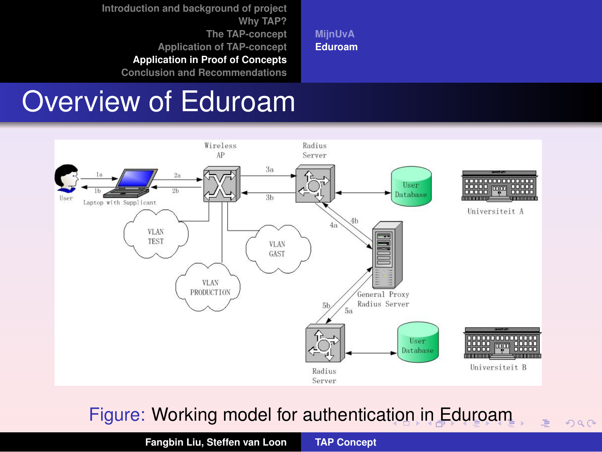**[MijnUvA](#page-22-0) [Eduroam](#page-25-0)**

#### Overview of Eduroam



#### Figure: Working model for authentica[tio](#page-24-0)[n i](#page-26-0)[n](#page-24-0) [E](#page-25-0)[d](#page-26-0)[u](#page-24-0)[r](#page-25-0)[o](#page-28-0)[a](#page-29-0)[m](#page-22-0)

**Fangbin Liu, Steffen van Loon [TAP Concept](#page-0-0)**

<span id="page-25-0"></span>E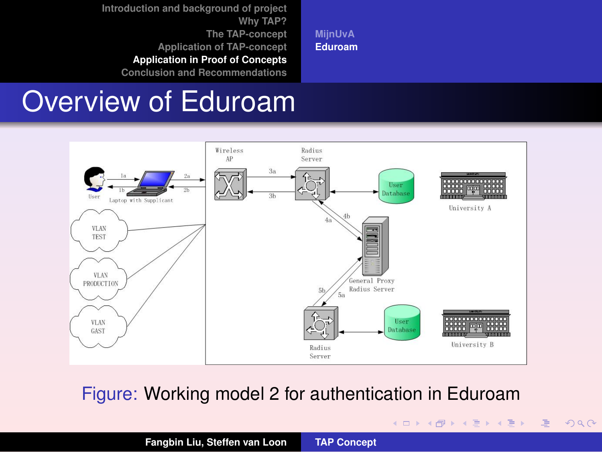**[MijnUvA](#page-22-0) [Eduroam](#page-25-0)**

#### Overview of Eduroam



Figure: Working model 2 for authentication in Eduroam

イロト イ部ト イ君ト イ君トー

重

<span id="page-26-0"></span> $2QQ$ 

**Fangbin Liu, Steffen van Loon [TAP Concept](#page-0-0)**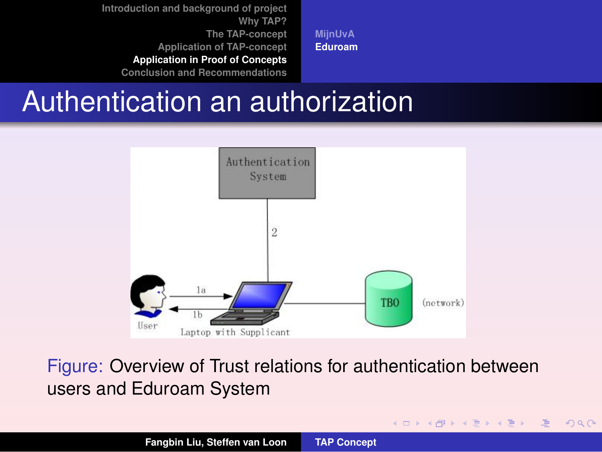**[MijnUvA](#page-22-0) [Eduroam](#page-25-0)**

#### Authentication an authorization



#### Figure: Overview of Trust relations for authentication between users and Eduroam System

(ロ) (個) (重) (重)

<span id="page-27-0"></span> $2QQ$ 

哇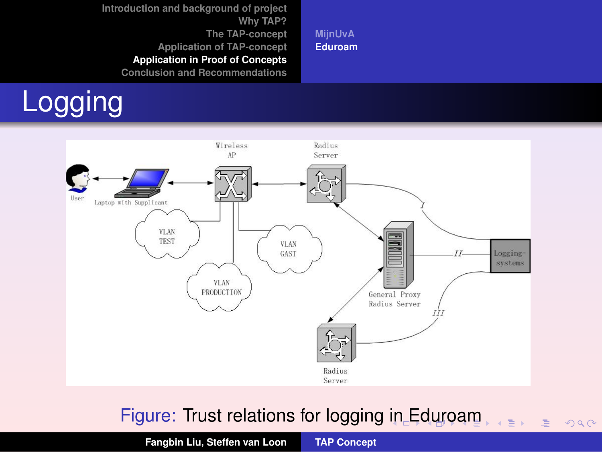Logging





#### Figure: Trust relations for logging [in](#page-27-0) [E](#page-29-0)[d](#page-27-0)[ur](#page-28-0)[o](#page-29-0)[a](#page-24-0)[m](#page-25-0)

<span id="page-28-0"></span> $2980$ 

重

**Fangbin Liu, Steffen van Loon [TAP Concept](#page-0-0)**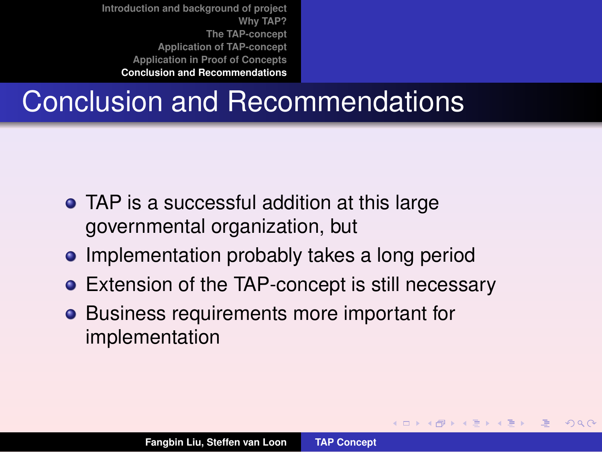### Conclusion and Recommendations

- TAP is a successful addition at this large governmental organization, but
- Implementation probably takes a long period
- **•** Extension of the TAP-concept is still necessary
- **•** Business requirements more important for implementation

<span id="page-29-0"></span>≮ロト ⊀ 御 ▶ ⊀ 唐 ▶ ⊀ 唐 ▶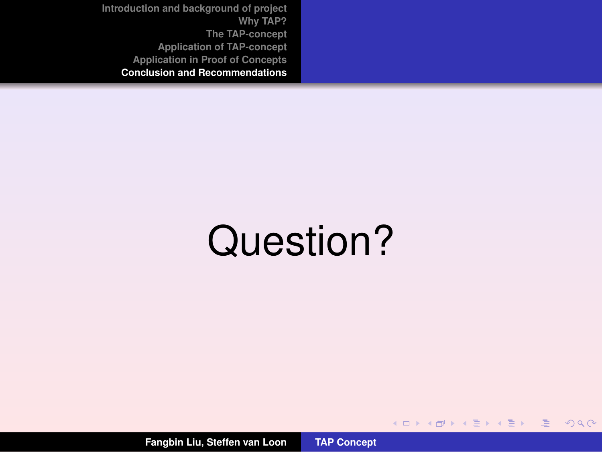# Question?

イロト イ部ト イ君ト イ君トー

画

 $2QQ$ 

**Fangbin Liu, Steffen van Loon [TAP Concept](#page-0-0)**